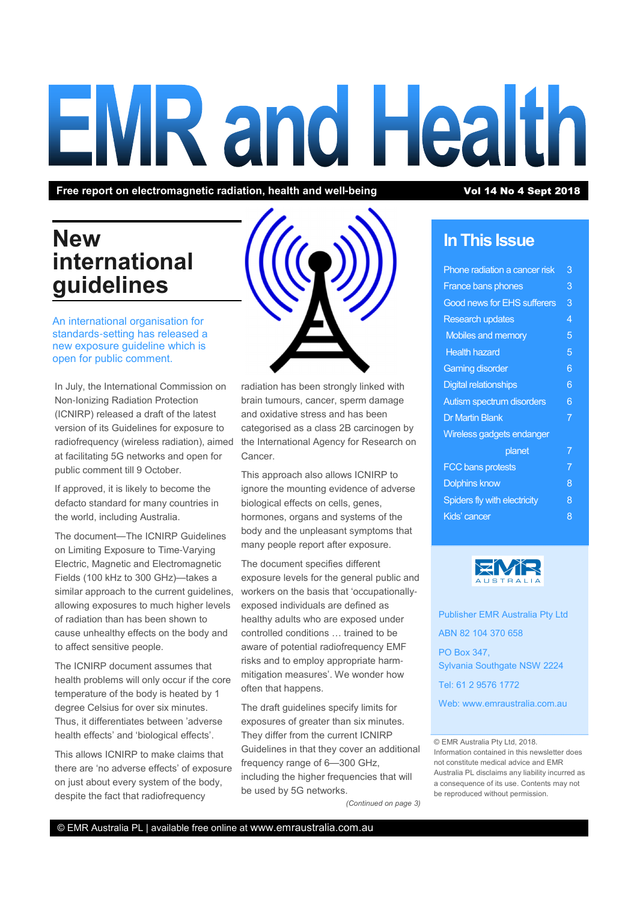# **EMR and Health**

Free report on electromagnetic radiation, health and well-being Vol 14 No 4 Sept 2018

## New international guidelines

An international organisation for standards-setting has released a new exposure guideline which is open for public comment.

In July, the International Commission on Non-Ionizing Radiation Protection (ICNIRP) released a draft of the latest version of its Guidelines for exposure to radiofrequency (wireless radiation), aimed at facilitating 5G networks and open for public comment till 9 October.

If approved, it is likely to become the defacto standard for many countries in the world, including Australia.

The document—The ICNIRP Guidelines on Limiting Exposure to Time-Varying Electric, Magnetic and Electromagnetic Fields (100 kHz to 300 GHz)—takes a similar approach to the current guidelines, allowing exposures to much higher levels of radiation than has been shown to cause unhealthy effects on the body and to affect sensitive people.

The ICNIRP document assumes that health problems will only occur if the core temperature of the body is heated by 1 degree Celsius for over six minutes. Thus, it differentiates between 'adverse health effects' and 'biological effects'.

This allows ICNIRP to make claims that there are 'no adverse effects' of exposure on just about every system of the body, despite the fact that radiofrequency

radiation has been strongly linked with brain tumours, cancer, sperm damage and oxidative stress and has been categorised as a class 2B carcinogen by the International Agency for Research on Cancer.

This approach also allows ICNIRP to ignore the mounting evidence of adverse biological effects on cells, genes, hormones, organs and systems of the body and the unpleasant symptoms that many people report after exposure.

The document specifies different exposure levels for the general public and workers on the basis that 'occupationallyexposed individuals are defined as healthy adults who are exposed under controlled conditions ... trained to be aware of potential radiofrequency EMF risks and to employ appropriate harmmitigation measures'. We wonder how often that happens.

The draft guidelines specify limits for exposures of greater than six minutes. They differ from the current ICNIRP Guidelines in that they cover an additional frequency range of 6—300 GHz, including the higher frequencies that will be used by 5G networks.

(Continued on page 3)

#### In This Issue

| Phone radiation a cancer risk      | 3 |
|------------------------------------|---|
| <b>France bans phones</b>          | 3 |
| <b>Good news for EHS sufferers</b> | 3 |
| <b>Research updates</b>            | 4 |
| Mobiles and memory                 | 5 |
| <b>Health hazard</b>               | 5 |
| <b>Gaming disorder</b>             | 6 |
| <b>Digital relationships</b>       | 6 |
| Autism spectrum disorders          | 6 |
| <b>Dr Martin Blank</b>             | 7 |
| <b>Wireless gadgets endanger</b>   |   |
| planet                             | 7 |
| <b>FCC bans protests</b>           | 7 |
| <b>Dolphins know</b>               | 8 |
| Spiders fly with electricity       | 8 |
| <b>Kids' cancer</b>                | 8 |
|                                    |   |



Publisher EMR Australia Pty Ltd ABN 82 104 370 658 PO Box 347, Sylvania Southgate NSW 2224 Tel: 61 2 9576 1772

Web: www.emraustralia.com.au

#### © EMR Australia Pty Ltd, 2018.

Information contained in this newsletter does not constitute medical advice and EMR Australia PL disclaims any liability incurred as a consequence of its use. Contents may not be reproduced without permission.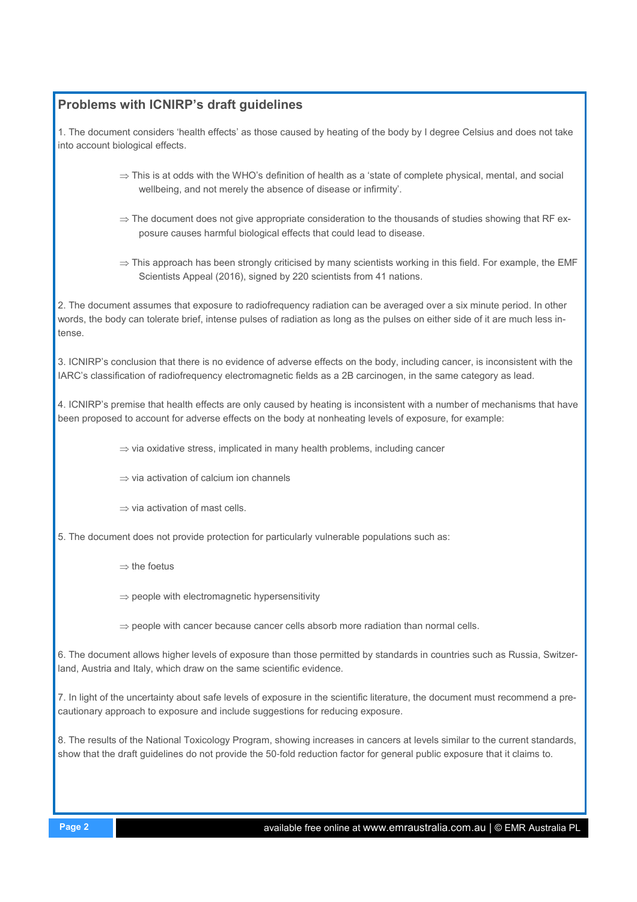#### Problems with ICNIRP's draft guidelines

1. The document considers 'health effects' as those caused by heating of the body by I degree Celsius and does not take into account biological effects.

- ⇒ This is at odds with the WHO's definition of health as a 'state of complete physical, mental, and social wellbeing, and not merely the absence of disease or infirmity'.
- $\Rightarrow$  The document does not give appropriate consideration to the thousands of studies showing that RF exposure causes harmful biological effects that could lead to disease.
- $\Rightarrow$  This approach has been strongly criticised by many scientists working in this field. For example, the EMF Scientists Appeal (2016), signed by 220 scientists from 41 nations.

2. The document assumes that exposure to radiofrequency radiation can be averaged over a six minute period. In other words, the body can tolerate brief, intense pulses of radiation as long as the pulses on either side of it are much less intense.

3. ICNIRP's conclusion that there is no evidence of adverse effects on the body, including cancer, is inconsistent with the IARC's classification of radiofrequency electromagnetic fields as a 2B carcinogen, in the same category as lead.

4. ICNIRP's premise that health effects are only caused by heating is inconsistent with a number of mechanisms that have been proposed to account for adverse effects on the body at nonheating levels of exposure, for example:

⇒ via oxidative stress, implicated in many health problems, including cancer

⇒ via activation of calcium ion channels

 $\Rightarrow$  via activation of mast cells.

5. The document does not provide protection for particularly vulnerable populations such as:

- ⇒ the foetus
- $\Rightarrow$  people with electromagnetic hypersensitivity
- ⇒ people with cancer because cancer cells absorb more radiation than normal cells.

6. The document allows higher levels of exposure than those permitted by standards in countries such as Russia, Switzerland, Austria and Italy, which draw on the same scientific evidence.

7. In light of the uncertainty about safe levels of exposure in the scientific literature, the document must recommend a precautionary approach to exposure and include suggestions for reducing exposure.

8. The results of the National Toxicology Program, showing increases in cancers at levels similar to the current standards, show that the draft guidelines do not provide the 50-fold reduction factor for general public exposure that it claims to.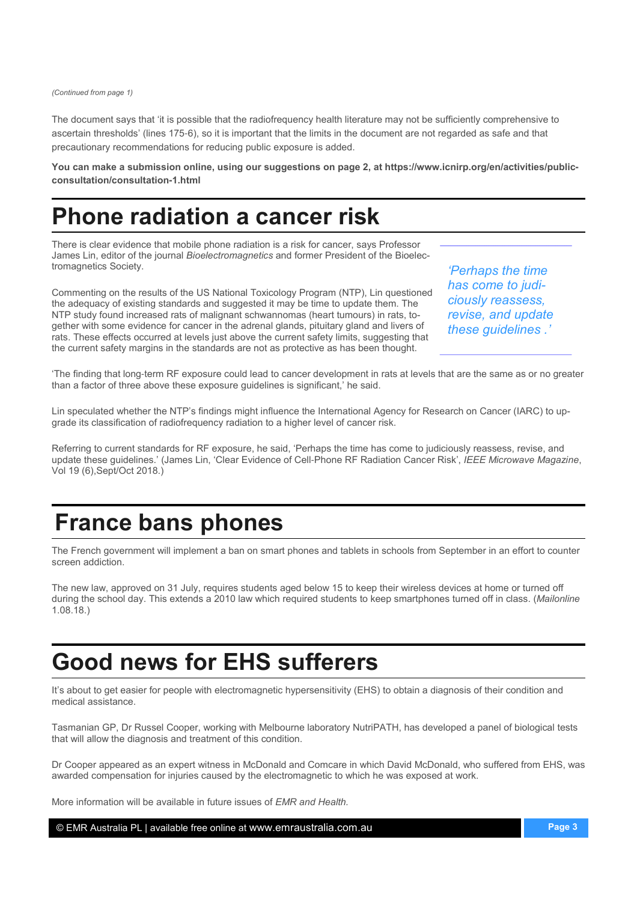(Continued from page 1)

The document says that 'it is possible that the radiofrequency health literature may not be sufficiently comprehensive to ascertain thresholds' (lines 175-6), so it is important that the limits in the document are not regarded as safe and that precautionary recommendations for reducing public exposure is added.

You can make a submission online, using our suggestions on page 2, at https://www.icnirp.org/en/activities/publicconsultation/consultation**-**1.html

## Phone radiation a cancer risk

There is clear evidence that mobile phone radiation is a risk for cancer, says Professor James Lin, editor of the journal *Bioelectromagnetics* and former President of the Bioelectromagnetics Society.

Commenting on the results of the US National Toxicology Program (NTP), Lin questioned the adequacy of existing standards and suggested it may be time to update them. The NTP study found increased rats of malignant schwannomas (heart tumours) in rats, together with some evidence for cancer in the adrenal glands, pituitary gland and livers of rats. These effects occurred at levels just above the current safety limits, suggesting that the current safety margins in the standards are not as protective as has been thought.

'Perhaps the time has come to judiciously reassess, revise, and update these guidelines .'

'The finding that long-term RF exposure could lead to cancer development in rats at levels that are the same as or no greater than a factor of three above these exposure guidelines is significant,' he said.

Lin speculated whether the NTP's findings might influence the International Agency for Research on Cancer (IARC) to upgrade its classification of radiofrequency radiation to a higher level of cancer risk.

Referring to current standards for RF exposure, he said, 'Perhaps the time has come to judiciously reassess, revise, and update these guidelines.' (James Lin, 'Clear Evidence of Cell-Phone RF Radiation Cancer Risk', IEEE Microwave Magazine, Vol 19 (6),Sept/Oct 2018.)

## France bans phones

The French government will implement a ban on smart phones and tablets in schools from September in an effort to counter screen addiction.

The new law, approved on 31 July, requires students aged below 15 to keep their wireless devices at home or turned off during the school day. This extends a 2010 law which required students to keep smartphones turned off in class. (Mailonline 1.08.18.)

## Good news for EHS sufferers

It's about to get easier for people with electromagnetic hypersensitivity (EHS) to obtain a diagnosis of their condition and medical assistance.

Tasmanian GP, Dr Russel Cooper, working with Melbourne laboratory NutriPATH, has developed a panel of biological tests that will allow the diagnosis and treatment of this condition.

Dr Cooper appeared as an expert witness in McDonald and Comcare in which David McDonald, who suffered from EHS, was awarded compensation for injuries caused by the electromagnetic to which he was exposed at work.

More information will be available in future issues of EMR and Health.

© EMR Australia PL | available free online at www.emraustralia.com.au Page 3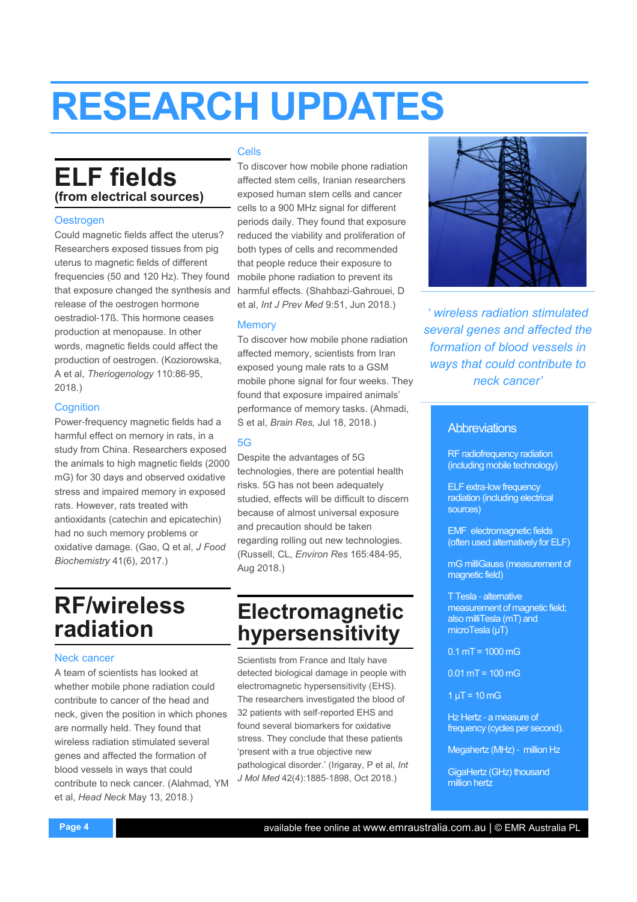## RESEARCH UPDATES

#### ELF fields (from electrical sources)

#### **Oestrogen**

Could magnetic fields affect the uterus? Researchers exposed tissues from pig uterus to magnetic fields of different frequencies (50 and 120 Hz). They found that exposure changed the synthesis and release of the oestrogen hormone oestradiol-17ß. This hormone ceases production at menopause. In other words, magnetic fields could affect the production of oestrogen. (Koziorowska, A et al, Theriogenology 110:86-95, 2018.)

#### **Cognition**

Power-frequency magnetic fields had a harmful effect on memory in rats, in a study from China. Researchers exposed the animals to high magnetic fields (2000 mG) for 30 days and observed oxidative stress and impaired memory in exposed rats. However, rats treated with antioxidants (catechin and epicatechin) had no such memory problems or oxidative damage. (Gao, Q et al, J Food Biochemistry 41(6), 2017.)

#### RF/wireless radiation

#### Neck cancer

A team of scientists has looked at whether mobile phone radiation could contribute to cancer of the head and neck, given the position in which phones are normally held. They found that wireless radiation stimulated several genes and affected the formation of blood vessels in ways that could contribute to neck cancer. (Alahmad, YM et al, Head Neck May 13, 2018.)

#### Cells

To discover how mobile phone radiation affected stem cells, Iranian researchers exposed human stem cells and cancer cells to a 900 MHz signal for different periods daily. They found that exposure reduced the viability and proliferation of both types of cells and recommended that people reduce their exposure to mobile phone radiation to prevent its harmful effects. (Shahbazi-Gahrouei, D et al, Int J Prev Med 9:51, Jun 2018.)

#### **Memory**

To discover how mobile phone radiation affected memory, scientists from Iran exposed young male rats to a GSM mobile phone signal for four weeks. They found that exposure impaired animals' performance of memory tasks. (Ahmadi, S et al, Brain Res, Jul 18, 2018.)

#### 5G

Despite the advantages of 5G technologies, there are potential health risks. 5G has not been adequately studied, effects will be difficult to discern because of almost universal exposure and precaution should be taken regarding rolling out new technologies. (Russell, CL, Environ Res 165:484-95, Aug 2018.)

#### Electromagnetic hypersensitivity

Scientists from France and Italy have detected biological damage in people with electromagnetic hypersensitivity (EHS). The researchers investigated the blood of 32 patients with self-reported EHS and found several biomarkers for oxidative stress. They conclude that these patients 'present with a true objective new pathological disorder.' (Irigaray, P et al, Int J Mol Med 42(4):1885-1898, Oct 2018.)



' wireless radiation stimulated several genes and affected the formation of blood vessels in ways that could contribute to neck cancer'

#### **Abbreviations**

RF radiofrequency radiation (including mobile technology)

ELF extra-low frequency radiation (including electrical sources)

EMF electromagnetic fields (often used alternatively for ELF)

mG milliGauss (measurement of magnetic field)

T Tesla - alternative measurement of magnetic field; also milliTesla (mT) and microTesla (µT)

 $0.1$  mT = 1000 mG

 $0.01$  mT = 100 mG

 $1 \mu T = 10 \, \text{mG}$ 

Hz Hertz - a measure of frequency (cycles per second).

Megahertz (MHz) - million Hz

GigaHertz (GHz) thousand million hertz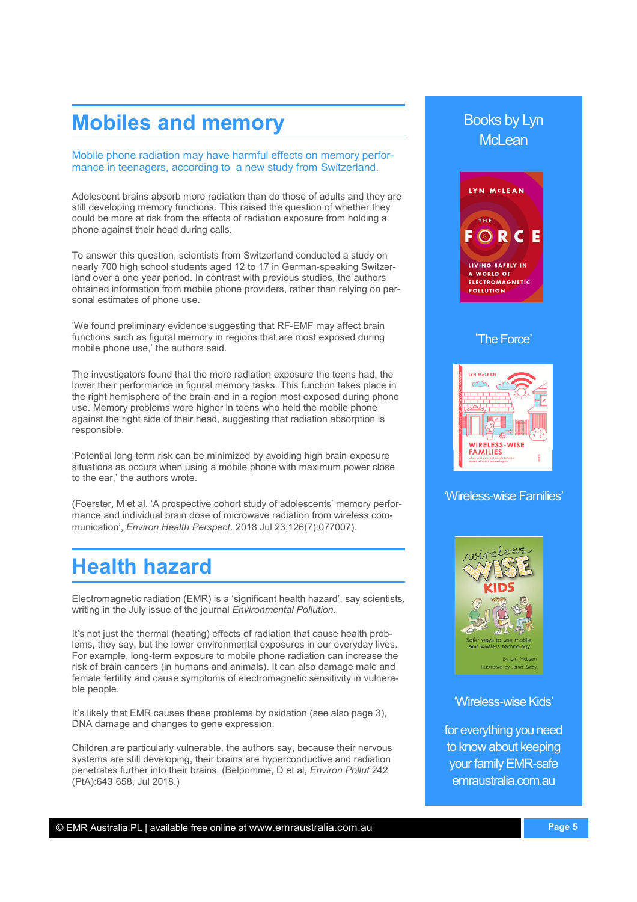#### Mobiles and memory

Mobile phone radiation may have harmful effects on memory performance in teenagers, according to a new study from Switzerland.

Adolescent brains absorb more radiation than do those of adults and they are still developing memory functions. This raised the question of whether they could be more at risk from the effects of radiation exposure from holding a phone against their head during calls.

To answer this question, scientists from Switzerland conducted a study on nearly 700 high school students aged 12 to 17 in German-speaking Switzerland over a one-year period. In contrast with previous studies, the authors obtained information from mobile phone providers, rather than relying on personal estimates of phone use.

'We found preliminary evidence suggesting that RF-EMF may affect brain functions such as figural memory in regions that are most exposed during mobile phone use,' the authors said.

The investigators found that the more radiation exposure the teens had, the lower their performance in figural memory tasks. This function takes place in the right hemisphere of the brain and in a region most exposed during phone use. Memory problems were higher in teens who held the mobile phone against the right side of their head, suggesting that radiation absorption is responsible.

'Potential long-term risk can be minimized by avoiding high brain-exposure situations as occurs when using a mobile phone with maximum power close to the ear,' the authors wrote.

(Foerster, M et al, 'A prospective cohort study of adolescents' memory performance and individual brain dose of microwave radiation from wireless communication', Environ Health Perspect. 2018 Jul 23;126(7):077007).

#### Health hazard

Electromagnetic radiation (EMR) is a 'significant health hazard', say scientists, writing in the July issue of the journal Environmental Pollution.

female fertility and cause symptoms of electromagnetic sensitivity in vulnera-<br>ble neaple It's not just the thermal (heating) effects of radiation that cause health problems, they say, but the lower environmental exposures in our everyday lives. For example, long-term exposure to mobile phone radiation can increase the risk of brain cancers (in humans and animals). It can also damage male and ble people.

It's likely that EMR causes these problems by oxidation (see also page 3), DNA damage and changes to gene expression.

Children are particularly vulnerable, the authors say, because their nervous systems are still developing, their brains are hyperconductive and radiation penetrates further into their brains. (Belpomme, D et al, Environ Pollut 242 (PtA):643-658, Jul 2018.)

#### Books by Lyn McL<sub>ean</sub>



#### 'The Force'



#### 'Wireless-wise Families'



'Wireless-wise Kids'

for everything you need to know about keeping your family EMR-safe emraustralia.com.au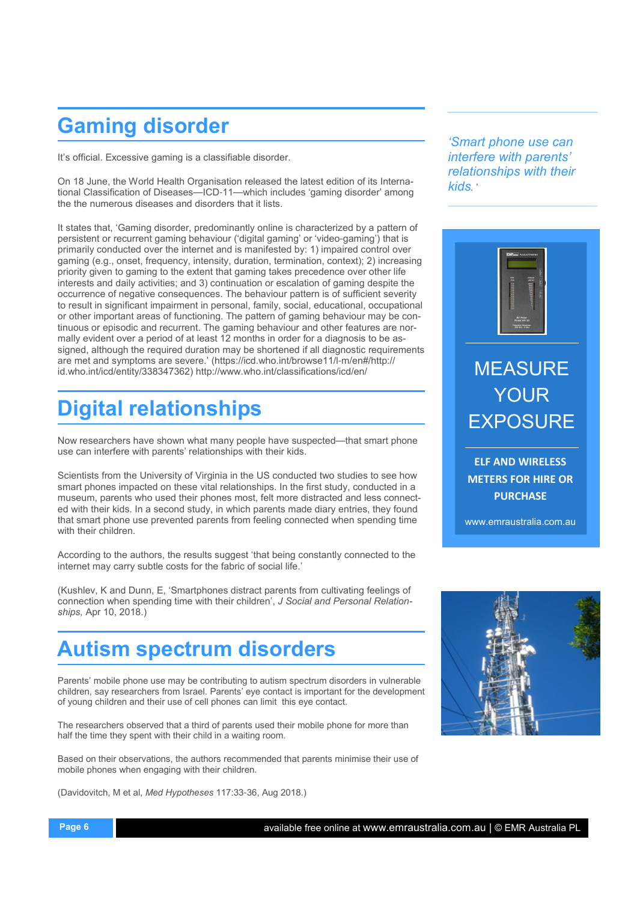## Gaming disorder

It's official. Excessive gaming is a classifiable disorder.

On 18 June, the World Health Organisation released the latest edition of its International Classification of Diseases—ICD-11—which includes 'gaming disorder' among the the numerous diseases and disorders that it lists.

It states that, 'Gaming disorder, predominantly online is characterized by a pattern of persistent or recurrent gaming behaviour ('digital gaming' or 'video-gaming') that is primarily conducted over the internet and is manifested by: 1) impaired control over gaming (e.g., onset, frequency, intensity, duration, termination, context); 2) increasing priority given to gaming to the extent that gaming takes precedence over other life interests and daily activities; and 3) continuation or escalation of gaming despite the occurrence of negative consequences. The behaviour pattern is of sufficient severity to result in significant impairment in personal, family, social, educational, occupational or other important areas of functioning. The pattern of gaming behaviour may be continuous or episodic and recurrent. The gaming behaviour and other features are normally evident over a period of at least 12 months in order for a diagnosis to be assigned, although the required duration may be shortened if all diagnostic requirements are met and symptoms are severe.' (https://icd.who.int/browse11/l-m/en#/http:// id.who.int/icd/entity/338347362) http://www.who.int/classifications/icd/en/

## Digital relationships

Now researchers have shown what many people have suspected—that smart phone use can interfere with parents' relationships with their kids.

Scientists from the University of Virginia in the US conducted two studies to see how smart phones impacted on these vital relationships. In the first study, conducted in a museum, parents who used their phones most, felt more distracted and less connected with their kids. In a second study, in which parents made diary entries, they found that smart phone use prevented parents from feeling connected when spending time with their children.

According to the authors, the results suggest 'that being constantly connected to the internet may carry subtle costs for the fabric of social life.'

(Kushlev, K and Dunn, E, 'Smartphones distract parents from cultivating feelings of connection when spending time with their children', J Social and Personal Relationships, Apr 10, 2018.)

## Autism spectrum disorders

Parents' mobile phone use may be contributing to autism spectrum disorders in vulnerable children, say researchers from Israel. Parents' eye contact is important for the development of young children and their use of cell phones can limit this eye contact.

The researchers observed that a third of parents used their mobile phone for more than half the time they spent with their child in a waiting room.

Based on their observations, the authors recommended that parents minimise their use of mobile phones when engaging with their children.

(Davidovitch, M et al, Med Hypotheses 117:33-36, Aug 2018.)

'Smart phone use can interfere with parents' relationships with their kids<sup>.</sup>



ELF AND WIRELESS METERS FOR HIRE OR **PURCHASE** 

www.emraustralia.com.au

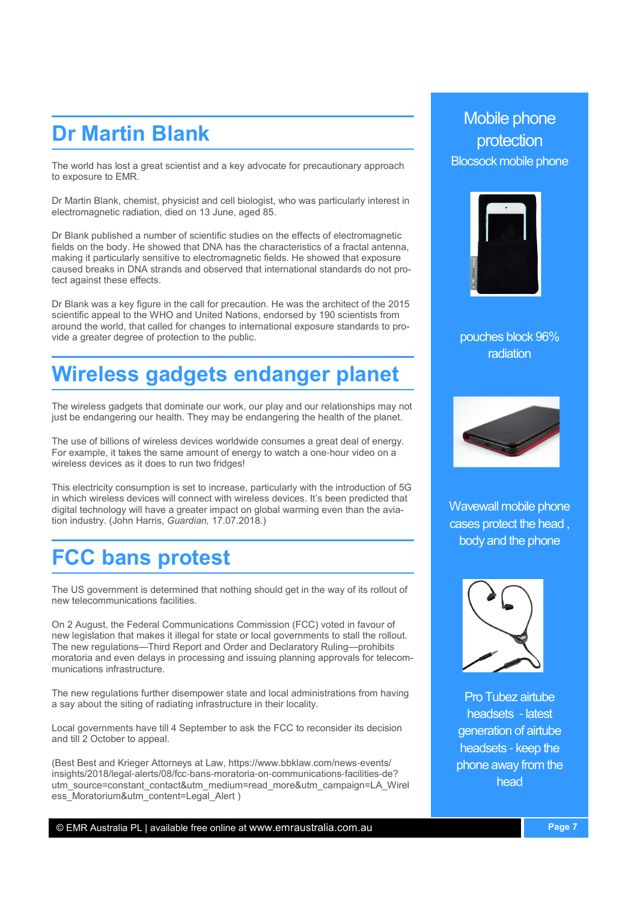#### Dr Martin Blank

The world has lost a great scientist and a key advocate for precautionary approach to exposure to EMR.

Dr Martin Blank, chemist, physicist and cell biologist, who was particularly interest in electromagnetic radiation, died on 13 June, aged 85.

Dr Blank published a number of scientific studies on the effects of electromagnetic fields on the body. He showed that DNA has the characteristics of a fractal antenna, making it particularly sensitive to electromagnetic fields. He showed that exposure caused breaks in DNA strands and observed that international standards do not protect against these effects.

Dr Blank was a key figure in the call for precaution. He was the architect of the 2015 scientific appeal to the WHO and United Nations, endorsed by 190 scientists from around the world, that called for changes to international exposure standards to provide a greater degree of protection to the public.

## Wireless gadgets endanger planet

The wireless gadgets that dominate our work, our play and our relationships may not just be endangering our health. They may be endangering the health of the planet.

The use of billions of wireless devices worldwide consumes a great deal of energy. For example, it takes the same amount of energy to watch a one-hour video on a wireless devices as it does to run two fridges!

This electricity consumption is set to increase, particularly with the introduction of 5G in which wireless devices will connect with wireless devices. It's been predicted that digital technology will have a greater impact on global warming even than the aviation industry. (John Harris, Guardian, 17.07.2018.)

#### FCC bans protest

The US government is determined that nothing should get in the way of its rollout of new telecommunications facilities.

On 2 August, the Federal Communications Commission (FCC) voted in favour of new legislation that makes it illegal for state or local governments to stall the rollout. The new regulations—Third Report and Order and Declaratory Ruling—prohibits moratoria and even delays in processing and issuing planning approvals for telecommunications infrastructure.

The new regulations further disempower state and local administrations from having a say about the siting of radiating infrastructure in their locality.

Local governments have till 4 September to ask the FCC to reconsider its decision and till 2 October to appeal.

(Best Best and Krieger Attorneys at Law, https://www.bbklaw.com/news-events/ insights/2018/legal-alerts/08/fcc-bans-moratoria-on-communications-facilities-de? utm\_source=constant\_contact&utm\_medium=read\_more&utm\_campaign=LA\_Wirel ess Moratorium&utm\_content=Legal\_Alert )

#### Mobile phone protection Blocsock mobile phone



pouches block 96% radiation



Wavewall mobile phone cases protect the head , body and the phone



Pro Tubez airtube headsets - latest generation of airtube headsets - keep the phone away from the head

© EMR Australia PL | available free online at www.emraustralia.com.au Page 7